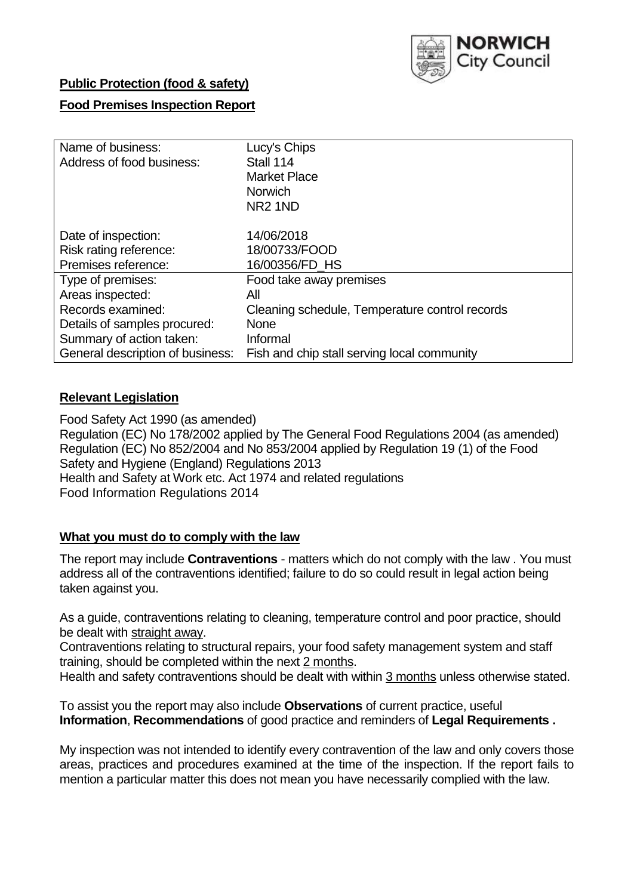

## **Public Protection (food & safety)**

## **Food Premises Inspection Report**

| Name of business:                | Lucy's Chips                                   |
|----------------------------------|------------------------------------------------|
| Address of food business:        | Stall 114                                      |
|                                  | <b>Market Place</b>                            |
|                                  | <b>Norwich</b>                                 |
|                                  | NR <sub>2</sub> 1ND                            |
| Date of inspection:              | 14/06/2018                                     |
| Risk rating reference:           | 18/00733/FOOD                                  |
| Premises reference:              | 16/00356/FD HS                                 |
| Type of premises:                | Food take away premises                        |
| Areas inspected:                 | All                                            |
| Records examined:                | Cleaning schedule, Temperature control records |
| Details of samples procured:     | None                                           |
| Summary of action taken:         | Informal                                       |
| General description of business: | Fish and chip stall serving local community    |

### **Relevant Legislation**

Food Safety Act 1990 (as amended) Regulation (EC) No 178/2002 applied by The General Food Regulations 2004 (as amended) Regulation (EC) No 852/2004 and No 853/2004 applied by Regulation 19 (1) of the Food Safety and Hygiene (England) Regulations 2013 Health and Safety at Work etc. Act 1974 and related regulations Food Information Regulations 2014

### **What you must do to comply with the law**

The report may include **Contraventions** - matters which do not comply with the law . You must address all of the contraventions identified; failure to do so could result in legal action being taken against you.

As a guide, contraventions relating to cleaning, temperature control and poor practice, should be dealt with straight away.

Contraventions relating to structural repairs, your food safety management system and staff training, should be completed within the next 2 months.

Health and safety contraventions should be dealt with within 3 months unless otherwise stated.

To assist you the report may also include **Observations** of current practice, useful **Information**, **Recommendations** of good practice and reminders of **Legal Requirements .**

My inspection was not intended to identify every contravention of the law and only covers those areas, practices and procedures examined at the time of the inspection. If the report fails to mention a particular matter this does not mean you have necessarily complied with the law.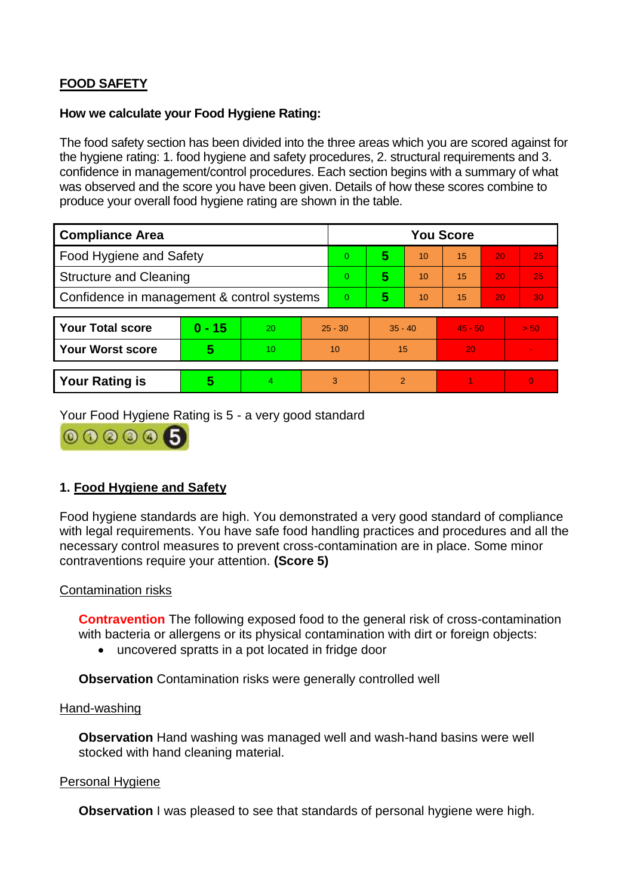# **FOOD SAFETY**

#### **How we calculate your Food Hygiene Rating:**

The food safety section has been divided into the three areas which you are scored against for the hygiene rating: 1. food hygiene and safety procedures, 2. structural requirements and 3. confidence in management/control procedures. Each section begins with a summary of what was observed and the score you have been given. Details of how these scores combine to produce your overall food hygiene rating are shown in the table.

| <b>Compliance Area</b>                     |          |    |                | <b>You Score</b> |           |    |           |    |                |  |
|--------------------------------------------|----------|----|----------------|------------------|-----------|----|-----------|----|----------------|--|
| Food Hygiene and Safety                    |          |    |                | $\Omega$         | 5         | 10 | 15        | 20 | 25             |  |
| <b>Structure and Cleaning</b>              |          |    | $\overline{0}$ | 5                | 10        | 15 | 20        | 25 |                |  |
| Confidence in management & control systems |          |    | $\overline{0}$ | 5                | 10        | 15 | 20        | 30 |                |  |
|                                            |          |    |                |                  |           |    |           |    |                |  |
| <b>Your Total score</b>                    | $0 - 15$ | 20 | $25 - 30$      |                  | $35 - 40$ |    | $45 - 50$ |    | > 50           |  |
| <b>Your Worst score</b>                    | 5        | 10 | 10             |                  | 15        |    | 20        |    |                |  |
|                                            |          |    |                |                  |           |    |           |    |                |  |
| <b>Your Rating is</b>                      | 5        | 4. | 3              |                  | 2         |    |           |    | $\overline{0}$ |  |

Your Food Hygiene Rating is 5 - a very good standard



## **1. Food Hygiene and Safety**

Food hygiene standards are high. You demonstrated a very good standard of compliance with legal requirements. You have safe food handling practices and procedures and all the necessary control measures to prevent cross-contamination are in place. Some minor contraventions require your attention. **(Score 5)**

### Contamination risks

**Contravention** The following exposed food to the general risk of cross-contamination with bacteria or allergens or its physical contamination with dirt or foreign objects:

uncovered spratts in a pot located in fridge door

**Observation** Contamination risks were generally controlled well

#### Hand-washing

**Observation** Hand washing was managed well and wash-hand basins were well stocked with hand cleaning material.

### Personal Hygiene

**Observation** I was pleased to see that standards of personal hygiene were high.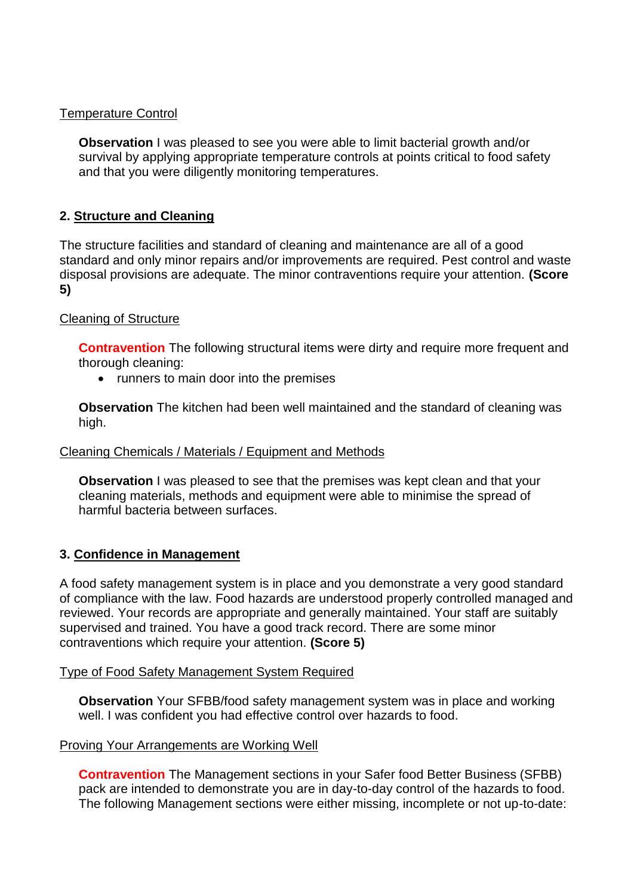## Temperature Control

**Observation** I was pleased to see you were able to limit bacterial growth and/or survival by applying appropriate temperature controls at points critical to food safety and that you were diligently monitoring temperatures.

## **2. Structure and Cleaning**

The structure facilities and standard of cleaning and maintenance are all of a good standard and only minor repairs and/or improvements are required. Pest control and waste disposal provisions are adequate. The minor contraventions require your attention. **(Score 5)**

### Cleaning of Structure

**Contravention** The following structural items were dirty and require more frequent and thorough cleaning:

• runners to main door into the premises

**Observation** The kitchen had been well maintained and the standard of cleaning was high.

### Cleaning Chemicals / Materials / Equipment and Methods

**Observation** I was pleased to see that the premises was kept clean and that your cleaning materials, methods and equipment were able to minimise the spread of harmful bacteria between surfaces.

## **3. Confidence in Management**

A food safety management system is in place and you demonstrate a very good standard of compliance with the law. Food hazards are understood properly controlled managed and reviewed. Your records are appropriate and generally maintained. Your staff are suitably supervised and trained. You have a good track record. There are some minor contraventions which require your attention. **(Score 5)**

### Type of Food Safety Management System Required

**Observation** Your SFBB/food safety management system was in place and working well. I was confident you had effective control over hazards to food.

### Proving Your Arrangements are Working Well

**Contravention** The Management sections in your Safer food Better Business (SFBB) pack are intended to demonstrate you are in day-to-day control of the hazards to food. The following Management sections were either missing, incomplete or not up-to-date: